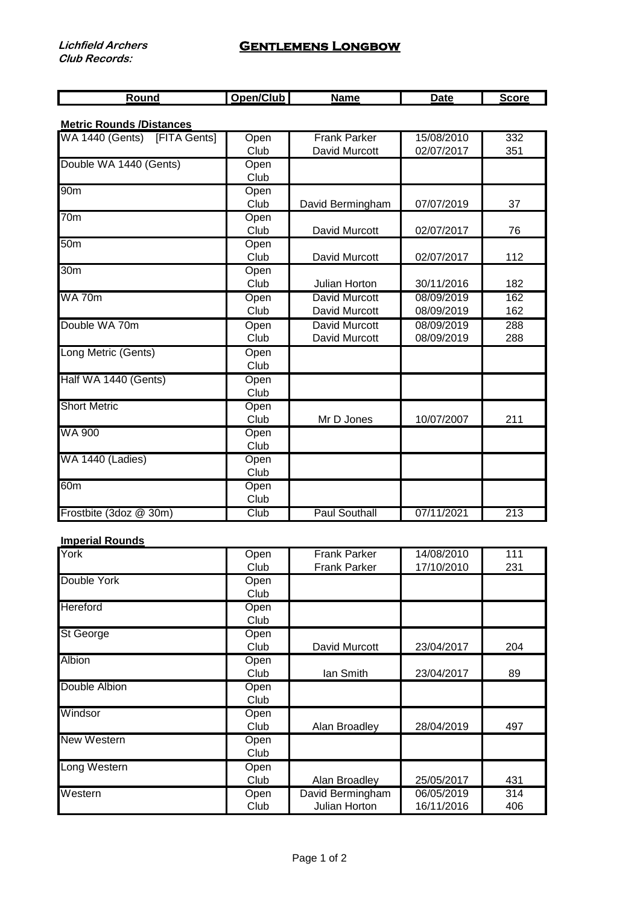## **Gentlemens Longbow**

| ---<br>. . |  |  |
|------------|--|--|
|            |  |  |

**Metric Rounds /Distances**

| WA 1440 (Gents) [FITA Gents] | Open | <b>Frank Parker</b>  | 15/08/2010 | 332 |
|------------------------------|------|----------------------|------------|-----|
|                              | Club | David Murcott        | 02/07/2017 | 351 |
| Double WA 1440 (Gents)       | Open |                      |            |     |
|                              | Club |                      |            |     |
| 90 <sub>m</sub>              | Open |                      |            |     |
|                              | Club | David Bermingham     | 07/07/2019 | 37  |
| $\overline{70m}$             | Open |                      |            |     |
|                              | Club | David Murcott        | 02/07/2017 | 76  |
| 50 <sub>m</sub>              | Open |                      |            |     |
|                              | Club | David Murcott        | 02/07/2017 | 112 |
| 30 <sub>m</sub>              | Open |                      |            |     |
|                              | Club | Julian Horton        | 30/11/2016 | 182 |
| <b>WA 70m</b>                | Open | <b>David Murcott</b> | 08/09/2019 | 162 |
|                              | Club | David Murcott        | 08/09/2019 | 162 |
| Double WA 70m                | Open | <b>David Murcott</b> | 08/09/2019 | 288 |
|                              | Club | David Murcott        | 08/09/2019 | 288 |
| Long Metric (Gents)          | Open |                      |            |     |
|                              | Club |                      |            |     |
| Half WA 1440 (Gents)         | Open |                      |            |     |
|                              | Club |                      |            |     |
| <b>Short Metric</b>          | Open |                      |            |     |
|                              | Club | Mr D Jones           | 10/07/2007 | 211 |
| <b>WA 900</b>                | Open |                      |            |     |
|                              | Club |                      |            |     |
| WA 1440 (Ladies)             | Open |                      |            |     |
|                              | Club |                      |            |     |
| 60 <sub>m</sub>              | Open |                      |            |     |
|                              | Club |                      |            |     |
| Frostbite (3doz @ 30m)       | Club | <b>Paul Southall</b> | 07/11/2021 | 213 |

## **Imperial Rounds**

| York               | Open | <b>Frank Parker</b> | 14/08/2010 | 111 |
|--------------------|------|---------------------|------------|-----|
|                    | Club | <b>Frank Parker</b> | 17/10/2010 | 231 |
| Double York        | Open |                     |            |     |
|                    | Club |                     |            |     |
| Hereford           | Open |                     |            |     |
|                    | Club |                     |            |     |
| St George          | Open |                     |            |     |
|                    | Club | David Murcott       | 23/04/2017 | 204 |
| Albion             | Open |                     |            |     |
|                    | Club | lan Smith           | 23/04/2017 | 89  |
| Double Albion      | Open |                     |            |     |
|                    | Club |                     |            |     |
| Windsor            | Open |                     |            |     |
|                    | Club | Alan Broadley       | 28/04/2019 | 497 |
| <b>New Western</b> | Open |                     |            |     |
|                    | Club |                     |            |     |
| Long Western       | Open |                     |            |     |
|                    | Club | Alan Broadley       | 25/05/2017 | 431 |
| Western            | Open | David Bermingham    | 06/05/2019 | 314 |
|                    | Club | Julian Horton       | 16/11/2016 | 406 |